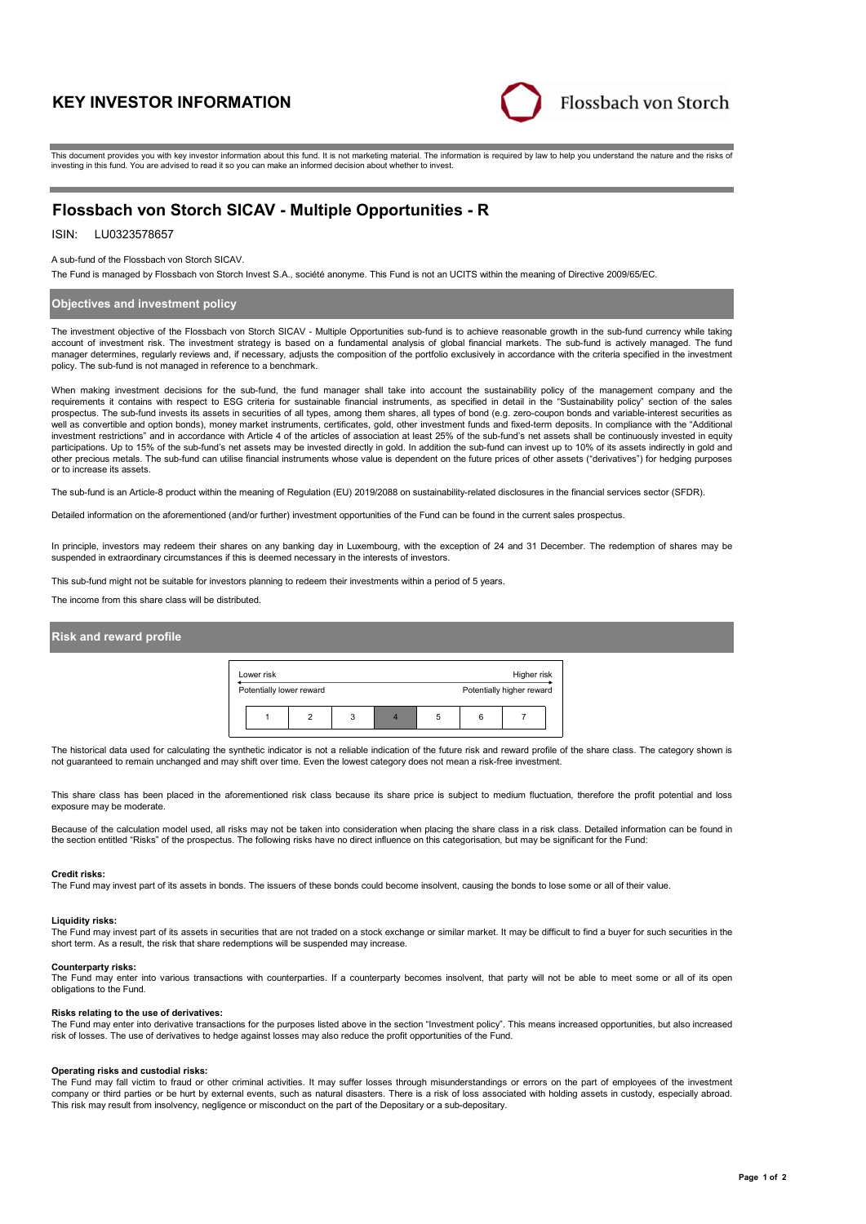# **KEY INVESTOR INFORMATION**



This document provides you with key investor information about this fund. It is not marketing material. The information is required by law to help you understand the nature and the risks of investing in this fund. You are advised to read it so you can make an informed decision about whether to invest.

# **Flossbach von Storch SICAV - Multiple Opportunities - R**

# ISIN: LU0323578657

### A sub-fund of the Flossbach von Storch SICAV.

The Fund is managed by Flossbach von Storch Invest S.A., société anonyme. This Fund is not an UCITS within the meaning of Directive 2009/65/EC.

# **Objectives and investment policy**

The investment objective of the Flossbach von Storch SICAV - Multiple Opportunities sub-fund is to achieve reasonable growth in the sub-fund currency while taking account of investment risk. The investment strategy is based on a fundamental analysis of global financial markets. The sub-fund is actively managed. The fund manager determines, regularly reviews and, if necessary, adjusts the composition of the portfolio exclusively in accordance with the criteria specified in the investment policy. The sub-fund is not managed in reference to a benchmark.

When making investment decisions for the sub-fund, the fund manager shall take into account the sustainability policy of the management company and the requirements it contains with respect to ESG criteria for sustainable financial instruments, as specified in detail in the "Sustainability policy" section of the sales<br>prospectus. The sub-fund invests its assets in securit well as convertible and option bonds), money market instruments, certificates, gold, other investment funds and fixed-term deposits. In compliance with the "Additional investment restrictions" and in accordance with Article 4 of the articles of association at least 25% of the sub-fund's net assets shall be continuously invested in equity participations. Up to 15% of the sub-fund's net assets may be invested directly in gold. In addition the sub-fund can invest up to 10% of its assets indirectly in gold and other precious metals. The sub-fund can utilise financial instruments whose value is dependent on the future prices of other assets ("derivatives") for hedging purposes or to increase its assets.

The sub-fund is an Article-8 product within the meaning of Regulation (EU) 2019/2088 on sustainability-related disclosures in the financial services sector (SFDR).

Detailed information on the aforementioned (and/or further) investment opportunities of the Fund can be found in the current sales prospectus.

In principle, investors may redeem their shares on any banking day in Luxembourg, with the exception of 24 and 31 December. The redemption of shares may be suspended in extraordinary circumstances if this is deemed necessary in the interests of investors.

This sub-fund might not be suitable for investors planning to redeem their investments within a period of 5 years.

The income from this share class will be distributed.

# **Risk and reward profile**

| Lower risk<br>Higher risk |                          |  |   |                           |   |   |  |  |  |
|---------------------------|--------------------------|--|---|---------------------------|---|---|--|--|--|
|                           | Potentially lower reward |  |   | Potentially higher reward |   |   |  |  |  |
|                           |                          |  | 3 |                           | 5 | 6 |  |  |  |

The historical data used for calculating the synthetic indicator is not a reliable indication of the future risk and reward profile of the share class. The category shown is not guaranteed to remain unchanged and may shift over time. Even the lowest category does not mean a risk-free investment.

This share class has been placed in the aforementioned risk class because its share price is subject to medium fluctuation, therefore the profit potential and loss exposure may be moderate.

Because of the calculation model used, all risks may not be taken into consideration when placing the share class in a risk class. Detailed information can be found in the section entitled "Risks" of the prospectus. The following risks have no direct influence on this categorisation, but may be significant for the Fund:

#### **Credit risks:**

The Fund may invest part of its assets in bonds. The issuers of these bonds could become insolvent, causing the bonds to lose some or all of their value.

## **Liquidity risks:**

The Fund may invest part of its assets in securities that are not traded on a stock exchange or similar market. It may be difficult to find a buyer for such securities in the short term. As a result, the risk that share redemptions will be suspended may increase.

#### **Counterparty risks:**

The Fund may enter into various transactions with counterparties. If a counterparty becomes insolvent, that party will not be able to meet some or all of its open obligations to the Fund.

## **Risks relating to the use of derivatives:**

The Fund may enter into derivative transactions for the purposes listed above in the section "Investment policy". This means increased opportunities, but also increased risk of losses. The use of derivatives to hedge against losses may also reduce the profit opportunities of the Fund.

#### **Operating risks and custodial risks:**

The Fund may fall victim to fraud or other criminal activities. It may suffer losses through misunderstandings or errors on the part of employees of the investment company or third parties or be hurt by external events, such as natural disasters. There is a risk of loss associated with holding assets in custody, especially abroad. This risk may result from insolvency, negligence or misconduct on the part of the Depositary or a sub-depositary.